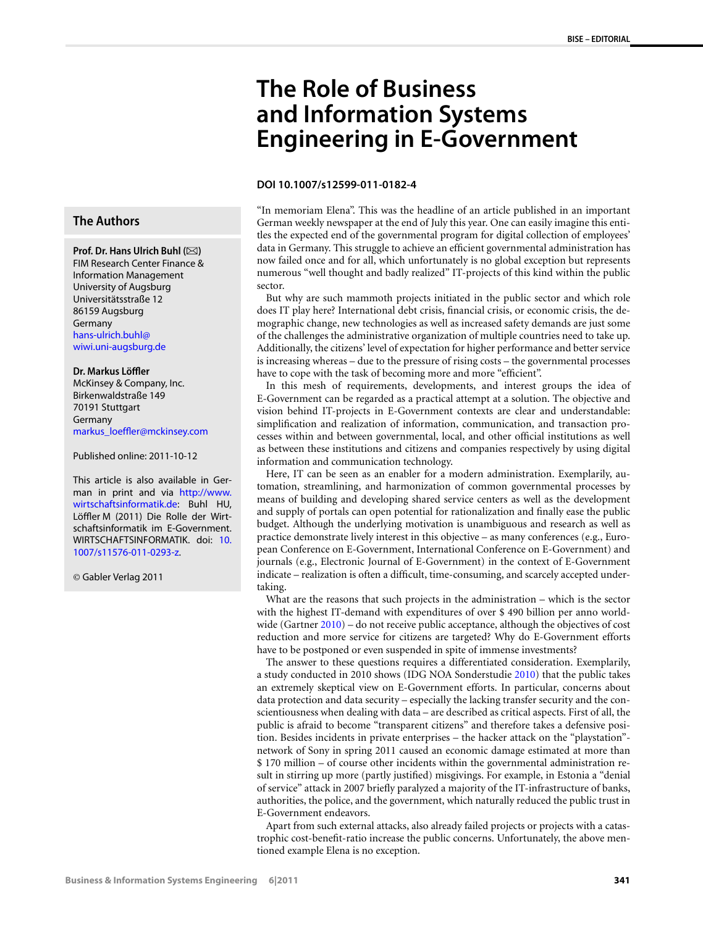# **The Role of Business and Information Systems Engineering in E-Government**

### **DOI 10.1007/s12599-011-0182-4**

"In memoriam Elena". This was the headline of an article published in an important German weekly newspaper at the end of July this year. One can easily imagine this entitles the expected end of the governmental program for digital collection of employees' data in Germany. This struggle to achieve an efficient governmental administration has now failed once and for all, which unfortunately is no global exception but represents numerous "well thought and badly realized" IT-projects of this kind within the public sector.

But why are such mammoth projects initiated in the public sector and which role does IT play here? International debt crisis, financial crisis, or economic crisis, the demographic change, new technologies as well as increased safety demands are just some of the challenges the administrative organization of multiple countries need to take up. Additionally, the citizens' level of expectation for higher performance and better service is increasing whereas – due to the pressure of rising costs – the governmental processes have to cope with the task of becoming more and more "efficient".

In this mesh of requirements, developments, and interest groups the idea of E-Government can be regarded as a practical attempt at a solution. The objective and vision behind IT-projects in E-Government contexts are clear and understandable: simplification and realization of information, communication, and transaction processes within and between governmental, local, and other official institutions as well as between these institutions and citizens and companies respectively by using digital information and communication technology.

Here, IT can be seen as an enabler for a modern administration. Exemplarily, automation, streamlining, and harmonization of common governmental processes by means of building and developing shared service centers as well as the development and supply of portals can open potential for rationalization and finally ease the public budget. Although the underlying motivation is unambiguous and research as well as practice demonstrate lively interest in this objective – as many conferences (e.g., European Conference on E-Government, International Conference on E-Government) and journals (e.g., Electronic Journal of E-Government) in the context of E-Government indicate – realization is often a difficult, time-consuming, and scarcely accepted undertaking.

What are the reasons that such projects in the administration – which is the sector with the highest IT-demand with expenditures of over \$ 490 billion per anno worldwide (Gartner [2010](#page-3-0)) – do not receive public acceptance, although the objectives of cost reduction and more service for citizens are targeted? Why do E-Government efforts have to be postponed or even suspended in spite of immense investments?

The answer to these questions requires a differentiated consideration. Exemplarily, a study conducted in 2010 shows (IDG NOA Sonderstudie [2010](#page-3-1)) that the public takes an extremely skeptical view on E-Government efforts. In particular, concerns about data protection and data security – especially the lacking transfer security and the conscientiousness when dealing with data – are described as critical aspects. First of all, the public is afraid to become "transparent citizens" and therefore takes a defensive position. Besides incidents in private enterprises – the hacker attack on the "playstation" network of Sony in spring 2011 caused an economic damage estimated at more than \$ 170 million – of course other incidents within the governmental administration result in stirring up more (partly justified) misgivings. For example, in Estonia a "denial of service" attack in 2007 briefly paralyzed a majority of the IT-infrastructure of banks, authorities, the police, and the government, which naturally reduced the public trust in E-Government endeavors.

Apart from such external attacks, also already failed projects or projects with a catastrophic cost-benefit-ratio increase the public concerns. Unfortunately, the above mentioned example Elena is no exception.

# **The Authors**

**Prof. Dr. Hans Ulrich Buhl (**-**)** FIM Research Center Finance & Information Management University of Augsburg Universitätsstraße 12 86159 Augsburg Germany [hans-ulrich.buhl@](mailto:hans-ulrich.buhl@wiwi.uni-augsburg.de) [wiwi.uni-augsburg.de](mailto:hans-ulrich.buhl@wiwi.uni-augsburg.de)

#### **Dr. Markus Löffler**

McKinsey & Company, Inc. Birkenwaldstraße 149 70191 Stuttgart Germany [markus\\_loeffler@mckinsey.com](mailto:markus_loeffler@mckinsey.com)

Published online: 2011-10-12

This article is also available in German in print and via [http://www.](http://www.wirtschaftsinformatik.de) [wirtschaftsinformatik.de:](http://www.wirtschaftsinformatik.de) Buhl HU, Löffler M (2011) Die Rolle der Wirtschaftsinformatik im E-Government. WIRTSCHAFTSINFORMATIK. doi: [10.](http://dx.doi.org/10.1007/s11576-011-0293-z) [1007/s11576-011-0293-z](http://dx.doi.org/10.1007/s11576-011-0293-z).

© Gabler Verlag 2011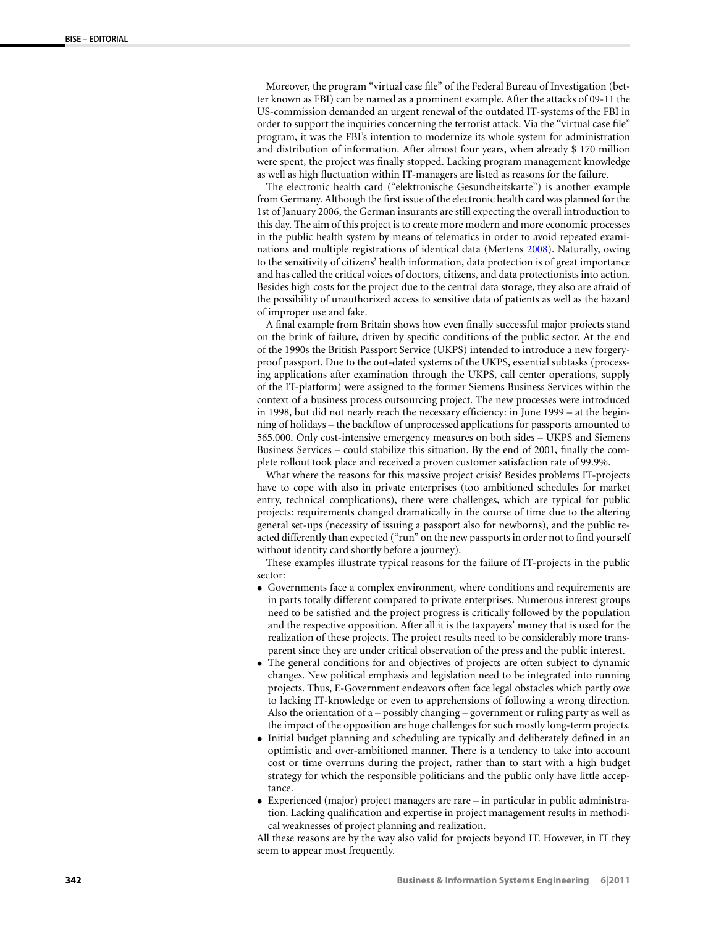Moreover, the program "virtual case file" of the Federal Bureau of Investigation (better known as FBI) can be named as a prominent example. After the attacks of 09-11 the US-commission demanded an urgent renewal of the outdated IT-systems of the FBI in order to support the inquiries concerning the terrorist attack. Via the "virtual case file" program, it was the FBI's intention to modernize its whole system for administration and distribution of information. After almost four years, when already \$ 170 million were spent, the project was finally stopped. Lacking program management knowledge as well as high fluctuation within IT-managers are listed as reasons for the failure.

The electronic health card ("elektronische Gesundheitskarte") is another example from Germany. Although the first issue of the electronic health card was planned for the 1st of January 2006, the German insurants are still expecting the overall introduction to this day. The aim of this project is to create more modern and more economic processes in the public health system by means of telematics in order to avoid repeated examinations and multiple registrations of identical data (Mertens [2008](#page-3-2)). Naturally, owing to the sensitivity of citizens' health information, data protection is of great importance and has called the critical voices of doctors, citizens, and data protectionists into action. Besides high costs for the project due to the central data storage, they also are afraid of the possibility of unauthorized access to sensitive data of patients as well as the hazard of improper use and fake.

A final example from Britain shows how even finally successful major projects stand on the brink of failure, driven by specific conditions of the public sector. At the end of the 1990s the British Passport Service (UKPS) intended to introduce a new forgeryproof passport. Due to the out-dated systems of the UKPS, essential subtasks (processing applications after examination through the UKPS, call center operations, supply of the IT-platform) were assigned to the former Siemens Business Services within the context of a business process outsourcing project. The new processes were introduced in 1998, but did not nearly reach the necessary efficiency: in June 1999 – at the beginning of holidays – the backflow of unprocessed applications for passports amounted to 565.000. Only cost-intensive emergency measures on both sides – UKPS and Siemens Business Services – could stabilize this situation. By the end of 2001, finally the complete rollout took place and received a proven customer satisfaction rate of 99.9%.

What where the reasons for this massive project crisis? Besides problems IT-projects have to cope with also in private enterprises (too ambitioned schedules for market entry, technical complications), there were challenges, which are typical for public projects: requirements changed dramatically in the course of time due to the altering general set-ups (necessity of issuing a passport also for newborns), and the public reacted differently than expected ("run" on the new passports in order not to find yourself without identity card shortly before a journey).

These examples illustrate typical reasons for the failure of IT-projects in the public sector:

- Governments face a complex environment, where conditions and requirements are in parts totally different compared to private enterprises. Numerous interest groups need to be satisfied and the project progress is critically followed by the population and the respective opposition. After all it is the taxpayers' money that is used for the realization of these projects. The project results need to be considerably more transparent since they are under critical observation of the press and the public interest.
- The general conditions for and objectives of projects are often subject to dynamic changes. New political emphasis and legislation need to be integrated into running projects. Thus, E-Government endeavors often face legal obstacles which partly owe to lacking IT-knowledge or even to apprehensions of following a wrong direction. Also the orientation of a – possibly changing – government or ruling party as well as the impact of the opposition are huge challenges for such mostly long-term projects.
- Initial budget planning and scheduling are typically and deliberately defined in an optimistic and over-ambitioned manner. There is a tendency to take into account cost or time overruns during the project, rather than to start with a high budget strategy for which the responsible politicians and the public only have little acceptance.
- Experienced (major) project managers are rare  $-$  in particular in public administration. Lacking qualification and expertise in project management results in methodical weaknesses of project planning and realization.

All these reasons are by the way also valid for projects beyond IT. However, in IT they seem to appear most frequently.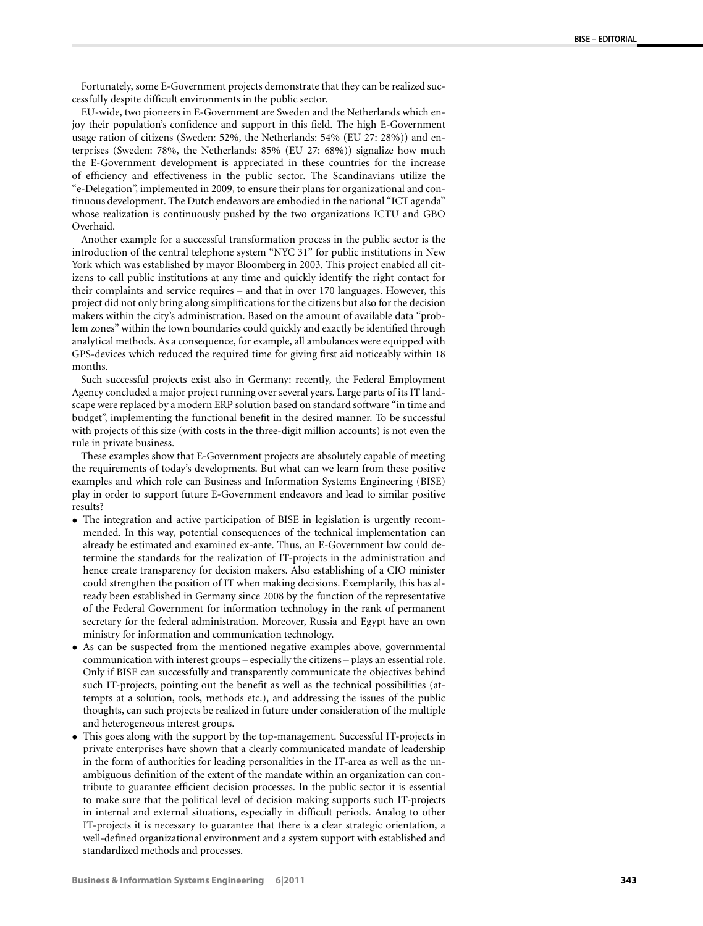Fortunately, some E-Government projects demonstrate that they can be realized successfully despite difficult environments in the public sector.

EU-wide, two pioneers in E-Government are Sweden and the Netherlands which enjoy their population's confidence and support in this field. The high E-Government usage ration of citizens (Sweden: 52%, the Netherlands: 54% (EU 27: 28%)) and enterprises (Sweden: 78%, the Netherlands: 85% (EU 27: 68%)) signalize how much the E-Government development is appreciated in these countries for the increase of efficiency and effectiveness in the public sector. The Scandinavians utilize the "e-Delegation", implemented in 2009, to ensure their plans for organizational and continuous development. The Dutch endeavors are embodied in the national "ICT agenda" whose realization is continuously pushed by the two organizations ICTU and GBO **Overhaid** 

Another example for a successful transformation process in the public sector is the introduction of the central telephone system "NYC 31" for public institutions in New York which was established by mayor Bloomberg in 2003. This project enabled all citizens to call public institutions at any time and quickly identify the right contact for their complaints and service requires – and that in over 170 languages. However, this project did not only bring along simplifications for the citizens but also for the decision makers within the city's administration. Based on the amount of available data "problem zones" within the town boundaries could quickly and exactly be identified through analytical methods. As a consequence, for example, all ambulances were equipped with GPS-devices which reduced the required time for giving first aid noticeably within 18 months.

Such successful projects exist also in Germany: recently, the Federal Employment Agency concluded a major project running over several years. Large parts of its IT landscape were replaced by a modern ERP solution based on standard software "in time and budget", implementing the functional benefit in the desired manner. To be successful with projects of this size (with costs in the three-digit million accounts) is not even the rule in private business.

These examples show that E-Government projects are absolutely capable of meeting the requirements of today's developments. But what can we learn from these positive examples and which role can Business and Information Systems Engineering (BISE) play in order to support future E-Government endeavors and lead to similar positive results?

- The integration and active participation of BISE in legislation is urgently recommended. In this way, potential consequences of the technical implementation can already be estimated and examined ex-ante. Thus, an E-Government law could determine the standards for the realization of IT-projects in the administration and hence create transparency for decision makers. Also establishing of a CIO minister could strengthen the position of IT when making decisions. Exemplarily, this has already been established in Germany since 2008 by the function of the representative of the Federal Government for information technology in the rank of permanent secretary for the federal administration. Moreover, Russia and Egypt have an own ministry for information and communication technology.
- As can be suspected from the mentioned negative examples above, governmental communication with interest groups – especially the citizens – plays an essential role. Only if BISE can successfully and transparently communicate the objectives behind such IT-projects, pointing out the benefit as well as the technical possibilities (attempts at a solution, tools, methods etc.), and addressing the issues of the public thoughts, can such projects be realized in future under consideration of the multiple and heterogeneous interest groups.
- This goes along with the support by the top-management. Successful IT-projects in private enterprises have shown that a clearly communicated mandate of leadership in the form of authorities for leading personalities in the IT-area as well as the unambiguous definition of the extent of the mandate within an organization can contribute to guarantee efficient decision processes. In the public sector it is essential to make sure that the political level of decision making supports such IT-projects in internal and external situations, especially in difficult periods. Analog to other IT-projects it is necessary to guarantee that there is a clear strategic orientation, a well-defined organizational environment and a system support with established and standardized methods and processes.